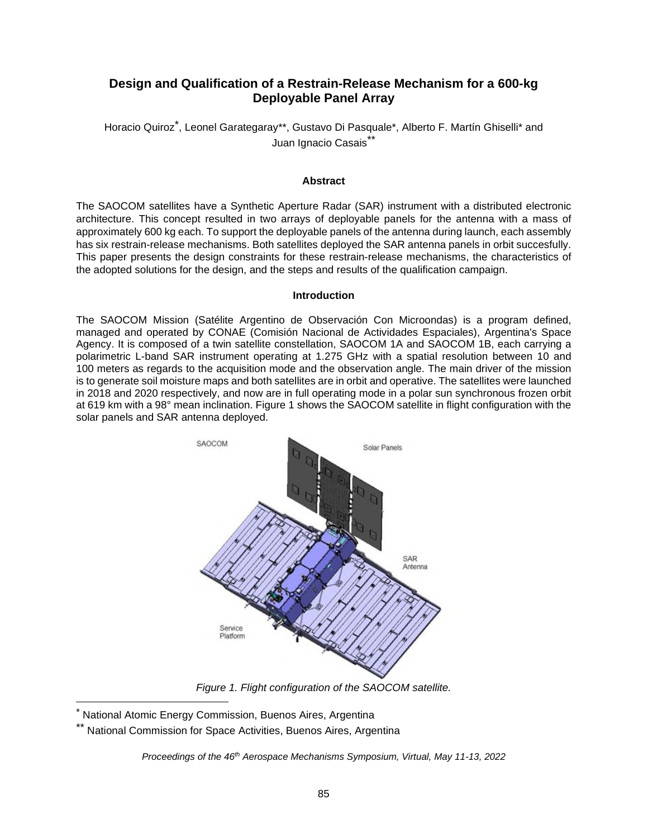# **Design and Qualification of a Restrain-Release Mechanism for a 600-kg Deployable Panel Array**

Horacio Quiroz<sup>[\\*](#page-0-0)</sup>, Leonel Garategaray\*\*, Gustavo Di Pasquale\*, Alberto F. Martín Ghiselli\* and Juan Ignacio Casais<sup>[\\*\\*](#page-0-1)</sup>

#### **Abstract**

The SAOCOM satellites have a Synthetic Aperture Radar (SAR) instrument with a distributed electronic architecture. This concept resulted in two arrays of deployable panels for the antenna with a mass of approximately 600 kg each. To support the deployable panels of the antenna during launch, each assembly has six restrain-release mechanisms. Both satellites deployed the SAR antenna panels in orbit succesfully. This paper presents the design constraints for these restrain-release mechanisms, the characteristics of the adopted solutions for the design, and the steps and results of the qualification campaign.

#### **Introduction**

The SAOCOM Mission (Satélite Argentino de Observación Con Microondas) is a program defined, managed and operated by CONAE (Comisión Nacional de Actividades Espaciales), Argentina's Space Agency. It is composed of a twin satellite constellation, SAOCOM 1A and SAOCOM 1B, each carrying a polarimetric L-band SAR instrument operating at 1.275 GHz with a spatial resolution between 10 and 100 meters as regards to the acquisition mode and the observation angle. The main driver of the mission is to generate soil moisture maps and both satellites are in orbit and operative. The satellites were launched in 2018 and 2020 respectively, and now are in full operating mode in a polar sun synchronous frozen orbit at 619 km with a 98° mean inclination. Figure 1 shows the SAOCOM satellite in flight configuration with the solar panels and SAR antenna deployed.



*Figure 1. Flight configuration of the SAOCOM satellite.*

*Proceedings of the 46th Aerospace Mechanisms Symposium, Virtual, May 11-13, 2022* 

<span id="page-0-1"></span><span id="page-0-0"></span><sup>\*</sup> National Atomic Energy Commission, Buenos Aires, Argentina

National Commission for Space Activities, Buenos Aires, Argentina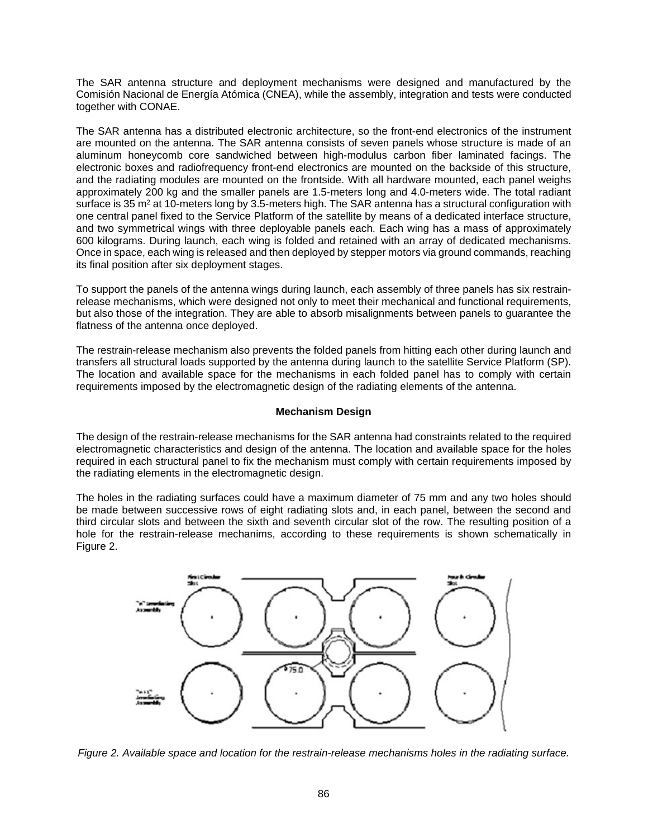The SAR antenna structure and deployment mechanisms were designed and manufactured by the Comisión Nacional de Energía Atómica (CNEA), while the assembly, integration and tests were conducted together with CONAE.

The SAR antenna has a distributed electronic architecture, so the front-end electronics of the instrument are mounted on the antenna. The SAR antenna consists of seven panels whose structure is made of an aluminum honeycomb core sandwiched between high-modulus carbon fiber laminated facings. The electronic boxes and radiofrequency front-end electronics are mounted on the backside of this structure, and the radiating modules are mounted on the frontside. With all hardware mounted, each panel weighs approximately 200 kg and the smaller panels are 1.5-meters long and 4.0-meters wide. The total radiant surface is 35 m<sup>2</sup> at 10-meters long by 3.5-meters high. The SAR antenna has a structural configuration with one central panel fixed to the Service Platform of the satellite by means of a dedicated interface structure, and two symmetrical wings with three deployable panels each. Each wing has a mass of approximately 600 kilograms. During launch, each wing is folded and retained with an array of dedicated mechanisms. Once in space, each wing is released and then deployed by stepper motors via ground commands, reaching its final position after six deployment stages.

To support the panels of the antenna wings during launch, each assembly of three panels has six restrainrelease mechanisms, which were designed not only to meet their mechanical and functional requirements, but also those of the integration. They are able to absorb misalignments between panels to guarantee the flatness of the antenna once deployed.

The restrain-release mechanism also prevents the folded panels from hitting each other during launch and transfers all structural loads supported by the antenna during launch to the satellite Service Platform (SP). The location and available space for the mechanisms in each folded panel has to comply with certain requirements imposed by the electromagnetic design of the radiating elements of the antenna.

# **Mechanism Design**

The design of the restrain-release mechanisms for the SAR antenna had constraints related to the required electromagnetic characteristics and design of the antenna. The location and available space for the holes required in each structural panel to fix the mechanism must comply with certain requirements imposed by the radiating elements in the electromagnetic design.

The holes in the radiating surfaces could have a maximum diameter of 75 mm and any two holes should be made between successive rows of eight radiating slots and, in each panel, between the second and third circular slots and between the sixth and seventh circular slot of the row. The resulting position of a hole for the restrain-release mechanims, according to these requirements is shown schematically in Figure 2.



*Figure 2. Available space and location for the restrain-release mechanisms holes in the radiating surface.*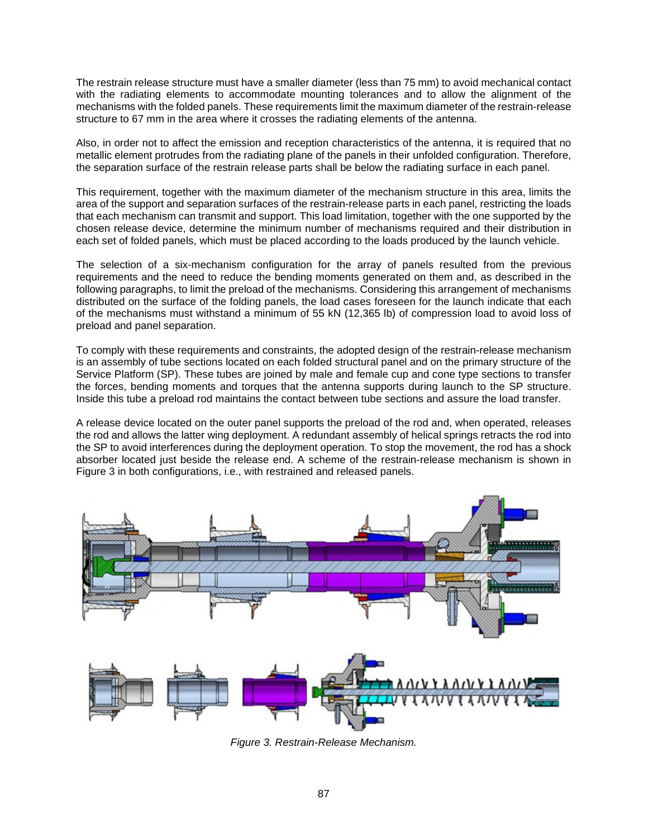The restrain release structure must have a smaller diameter (less than 75 mm) to avoid mechanical contact with the radiating elements to accommodate mounting tolerances and to allow the alignment of the mechanisms with the folded panels. These requirements limit the maximum diameter of the restrain-release structure to 67 mm in the area where it crosses the radiating elements of the antenna.

Also, in order not to affect the emission and reception characteristics of the antenna, it is required that no metallic element protrudes from the radiating plane of the panels in their unfolded configuration. Therefore, the separation surface of the restrain release parts shall be below the radiating surface in each panel.

This requirement, together with the maximum diameter of the mechanism structure in this area, limits the area of the support and separation surfaces of the restrain-release parts in each panel, restricting the loads that each mechanism can transmit and support. This load limitation, together with the one supported by the chosen release device, determine the minimum number of mechanisms required and their distribution in each set of folded panels, which must be placed according to the loads produced by the launch vehicle.

The selection of a six-mechanism configuration for the array of panels resulted from the previous requirements and the need to reduce the bending moments generated on them and, as described in the following paragraphs, to limit the preload of the mechanisms. Considering this arrangement of mechanisms distributed on the surface of the folding panels, the load cases foreseen for the launch indicate that each of the mechanisms must withstand a minimum of 55 kN (12,365 lb) of compression load to avoid loss of preload and panel separation.

To comply with these requirements and constraints, the adopted design of the restrain-release mechanism is an assembly of tube sections located on each folded structural panel and on the primary structure of the Service Platform (SP). These tubes are joined by male and female cup and cone type sections to transfer the forces, bending moments and torques that the antenna supports during launch to the SP structure. Inside this tube a preload rod maintains the contact between tube sections and assure the load transfer.

A release device located on the outer panel supports the preload of the rod and, when operated, releases the rod and allows the latter wing deployment. A redundant assembly of helical springs retracts the rod into the SP to avoid interferences during the deployment operation. To stop the movement, the rod has a shock absorber located just beside the release end. A scheme of the restrain-release mechanism is shown in Figure 3 in both configurations, i.e., with restrained and released panels.



*Figure 3. Restrain-Release Mechanism.*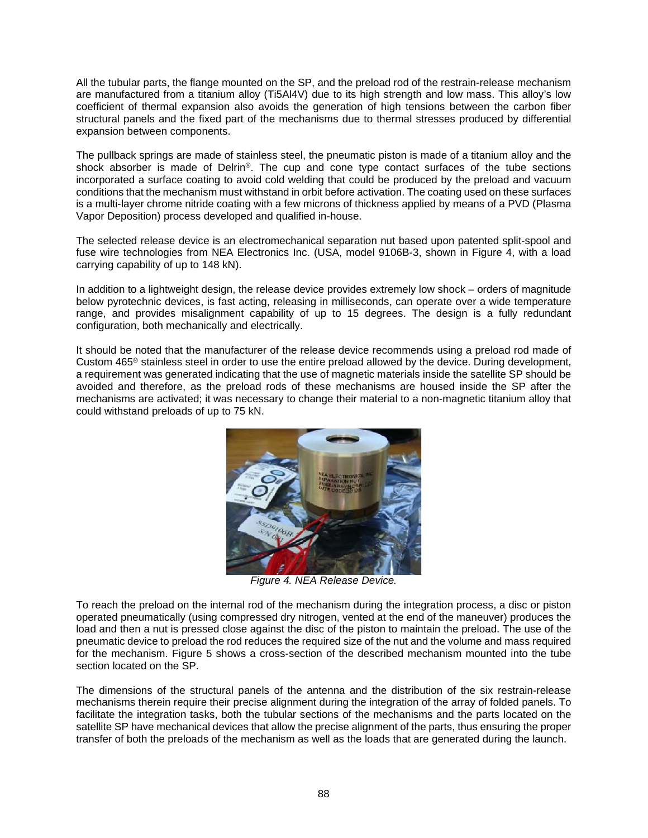All the tubular parts, the flange mounted on the SP, and the preload rod of the restrain-release mechanism are manufactured from a titanium alloy (Ti5Al4V) due to its high strength and low mass. This alloy's low coefficient of thermal expansion also avoids the generation of high tensions between the carbon fiber structural panels and the fixed part of the mechanisms due to thermal stresses produced by differential expansion between components.

The pullback springs are made of stainless steel, the pneumatic piston is made of a titanium alloy and the shock absorber is made of Delrin®. The cup and cone type contact surfaces of the tube sections incorporated a surface coating to avoid cold welding that could be produced by the preload and vacuum conditions that the mechanism must withstand in orbit before activation. The coating used on these surfaces is a multi-layer chrome nitride coating with a few microns of thickness applied by means of a PVD (Plasma Vapor Deposition) process developed and qualified in-house.

The selected release device is an electromechanical separation nut based upon patented split-spool and fuse wire technologies from NEA Electronics Inc. (USA, model 9106B-3, shown in Figure 4, with a load carrying capability of up to 148 kN).

In addition to a lightweight design, the release device provides extremely low shock – orders of magnitude below pyrotechnic devices, is fast acting, releasing in milliseconds, can operate over a wide temperature range, and provides misalignment capability of up to 15 degrees. The design is a fully redundant configuration, both mechanically and electrically.

It should be noted that the manufacturer of the release device recommends using a preload rod made of Custom 465® stainless steel in order to use the entire preload allowed by the device. During development, a requirement was generated indicating that the use of magnetic materials inside the satellite SP should be avoided and therefore, as the preload rods of these mechanisms are housed inside the SP after the mechanisms are activated; it was necessary to change their material to a non-magnetic titanium alloy that could withstand preloads of up to 75 kN.



*Figure 4. NEA Release Device.* 

To reach the preload on the internal rod of the mechanism during the integration process, a disc or piston operated pneumatically (using compressed dry nitrogen, vented at the end of the maneuver) produces the load and then a nut is pressed close against the disc of the piston to maintain the preload. The use of the pneumatic device to preload the rod reduces the required size of the nut and the volume and mass required for the mechanism. Figure 5 shows a cross-section of the described mechanism mounted into the tube section located on the SP.

The dimensions of the structural panels of the antenna and the distribution of the six restrain-release mechanisms therein require their precise alignment during the integration of the array of folded panels. To facilitate the integration tasks, both the tubular sections of the mechanisms and the parts located on the satellite SP have mechanical devices that allow the precise alignment of the parts, thus ensuring the proper transfer of both the preloads of the mechanism as well as the loads that are generated during the launch.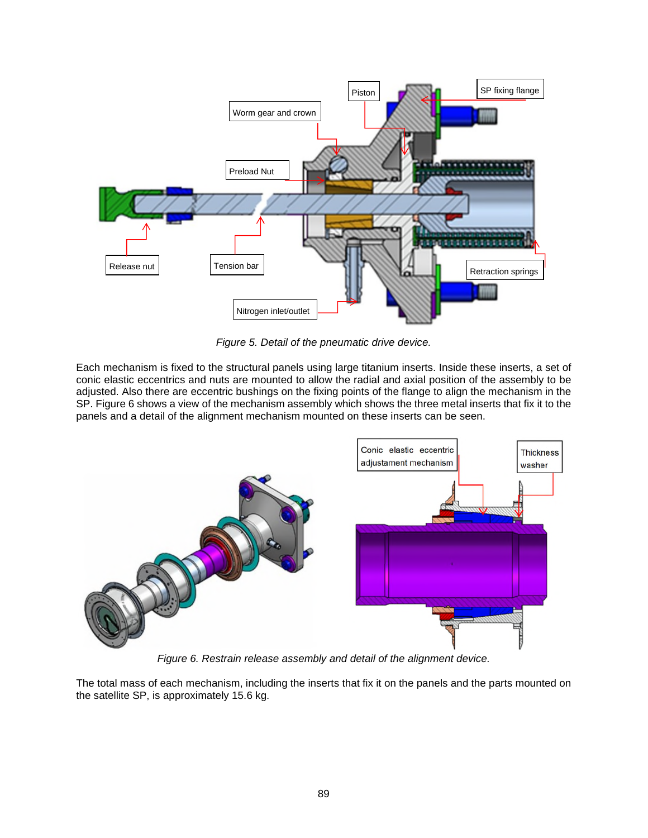

*Figure 5. Detail of the pneumatic drive device.* 

Each mechanism is fixed to the structural panels using large titanium inserts. Inside these inserts, a set of conic elastic eccentrics and nuts are mounted to allow the radial and axial position of the assembly to be adjusted. Also there are eccentric bushings on the fixing points of the flange to align the mechanism in the SP. Figure 6 shows a view of the mechanism assembly which shows the three metal inserts that fix it to the panels and a detail of the alignment mechanism mounted on these inserts can be seen.



*Figure 6. Restrain release assembly and detail of the alignment device.*

The total mass of each mechanism, including the inserts that fix it on the panels and the parts mounted on the satellite SP, is approximately 15.6 kg.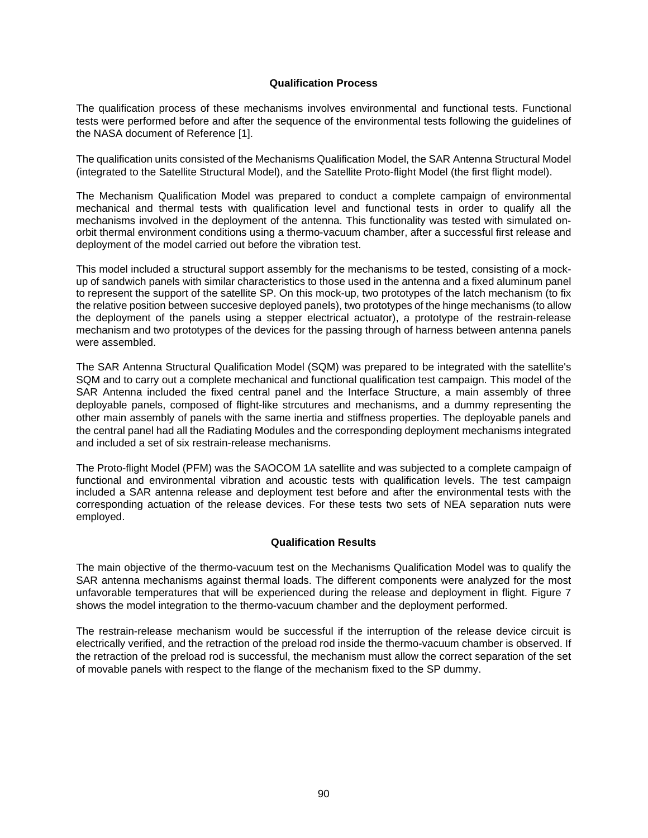## **Qualification Process**

The qualification process of these mechanisms involves environmental and functional tests. Functional tests were performed before and after the sequence of the environmental tests following the guidelines of the NASA document of Reference [1].

The qualification units consisted of the Mechanisms Qualification Model, the SAR Antenna Structural Model (integrated to the Satellite Structural Model), and the Satellite Proto-flight Model (the first flight model).

The Mechanism Qualification Model was prepared to conduct a complete campaign of environmental mechanical and thermal tests with qualification level and functional tests in order to qualify all the mechanisms involved in the deployment of the antenna. This functionality was tested with simulated onorbit thermal environment conditions using a thermo-vacuum chamber, after a successful first release and deployment of the model carried out before the vibration test.

This model included a structural support assembly for the mechanisms to be tested, consisting of a mockup of sandwich panels with similar characteristics to those used in the antenna and a fixed aluminum panel to represent the support of the satellite SP. On this mock-up, two prototypes of the latch mechanism (to fix the relative position between succesive deployed panels), two prototypes of the hinge mechanisms (to allow the deployment of the panels using a stepper electrical actuator), a prototype of the restrain-release mechanism and two prototypes of the devices for the passing through of harness between antenna panels were assembled.

The SAR Antenna Structural Qualification Model (SQM) was prepared to be integrated with the satellite's SQM and to carry out a complete mechanical and functional qualification test campaign. This model of the SAR Antenna included the fixed central panel and the Interface Structure, a main assembly of three deployable panels, composed of flight-like strcutures and mechanisms, and a dummy representing the other main assembly of panels with the same inertia and stiffness properties. The deployable panels and the central panel had all the Radiating Modules and the corresponding deployment mechanisms integrated and included a set of six restrain-release mechanisms.

The Proto-flight Model (PFM) was the SAOCOM 1A satellite and was subjected to a complete campaign of functional and environmental vibration and acoustic tests with qualification levels. The test campaign included a SAR antenna release and deployment test before and after the environmental tests with the corresponding actuation of the release devices. For these tests two sets of NEA separation nuts were employed.

# **Qualification Results**

The main objective of the thermo-vacuum test on the Mechanisms Qualification Model was to qualify the SAR antenna mechanisms against thermal loads. The different components were analyzed for the most unfavorable temperatures that will be experienced during the release and deployment in flight. Figure 7 shows the model integration to the thermo-vacuum chamber and the deployment performed.

The restrain-release mechanism would be successful if the interruption of the release device circuit is electrically verified, and the retraction of the preload rod inside the thermo-vacuum chamber is observed. If the retraction of the preload rod is successful, the mechanism must allow the correct separation of the set of movable panels with respect to the flange of the mechanism fixed to the SP dummy.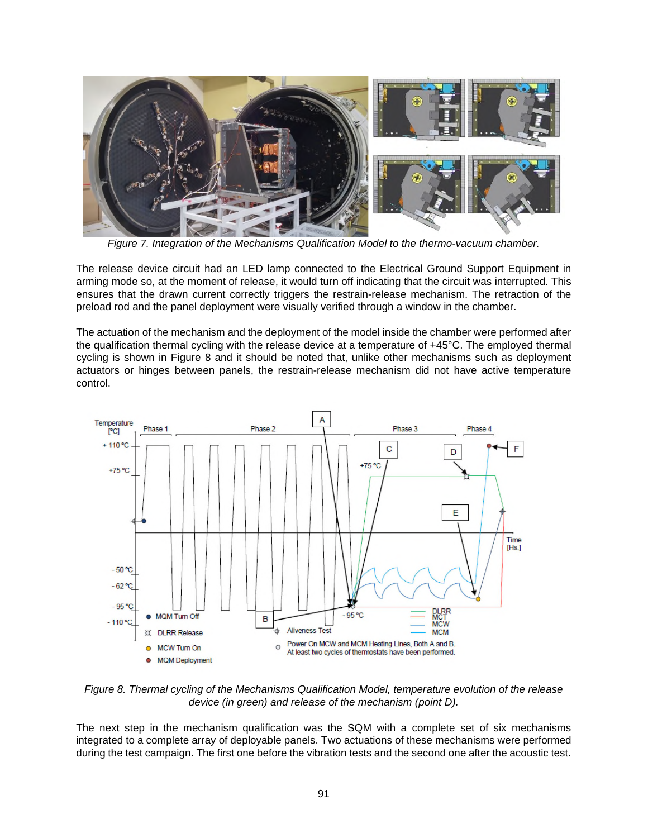

*Figure 7. Integration of the Mechanisms Qualification Model to the thermo-vacuum chamber.*

The release device circuit had an LED lamp connected to the Electrical Ground Support Equipment in arming mode so, at the moment of release, it would turn off indicating that the circuit was interrupted. This ensures that the drawn current correctly triggers the restrain-release mechanism. The retraction of the preload rod and the panel deployment were visually verified through a window in the chamber.

The actuation of the mechanism and the deployment of the model inside the chamber were performed after the qualification thermal cycling with the release device at a temperature of +45°C. The employed thermal cycling is shown in Figure 8 and it should be noted that, unlike other mechanisms such as deployment actuators or hinges between panels, the restrain-release mechanism did not have active temperature control.



*Figure 8. Thermal cycling of the Mechanisms Qualification Model, temperature evolution of the release device (in green) and release of the mechanism (point D).*

The next step in the mechanism qualification was the SQM with a complete set of six mechanisms integrated to a complete array of deployable panels. Two actuations of these mechanisms were performed during the test campaign. The first one before the vibration tests and the second one after the acoustic test.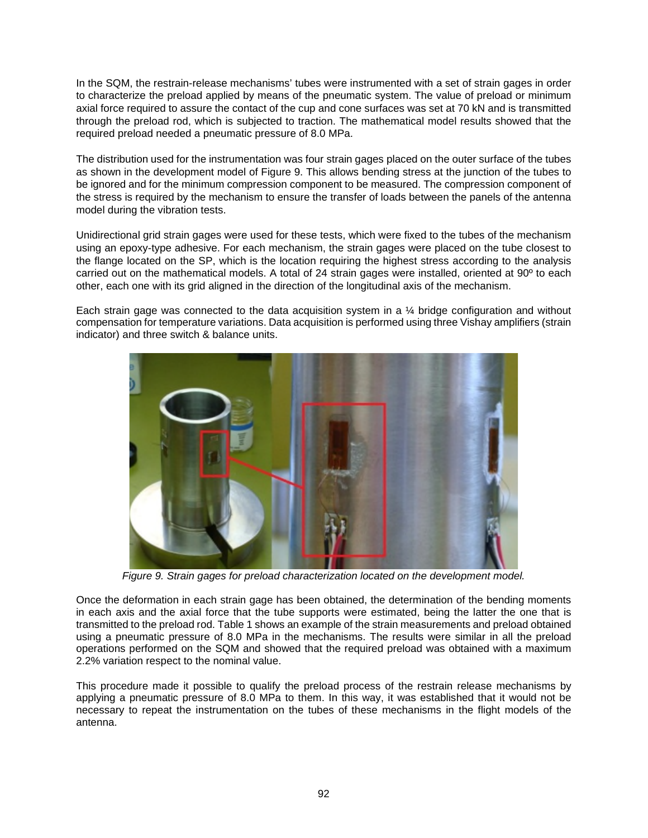In the SQM, the restrain-release mechanisms' tubes were instrumented with a set of strain gages in order to characterize the preload applied by means of the pneumatic system. The value of preload or minimum axial force required to assure the contact of the cup and cone surfaces was set at 70 kN and is transmitted through the preload rod, which is subjected to traction. The mathematical model results showed that the required preload needed a pneumatic pressure of 8.0 MPa.

The distribution used for the instrumentation was four strain gages placed on the outer surface of the tubes as shown in the development model of Figure 9. This allows bending stress at the junction of the tubes to be ignored and for the minimum compression component to be measured. The compression component of the stress is required by the mechanism to ensure the transfer of loads between the panels of the antenna model during the vibration tests.

Unidirectional grid strain gages were used for these tests, which were fixed to the tubes of the mechanism using an epoxy-type adhesive. For each mechanism, the strain gages were placed on the tube closest to the flange located on the SP, which is the location requiring the highest stress according to the analysis carried out on the mathematical models. A total of 24 strain gages were installed, oriented at 90º to each other, each one with its grid aligned in the direction of the longitudinal axis of the mechanism.

Each strain gage was connected to the data acquisition system in a ¼ bridge configuration and without compensation for temperature variations. Data acquisition is performed using three Vishay amplifiers (strain indicator) and three switch & balance units.



*Figure 9. Strain gages for preload characterization located on the development model.*

Once the deformation in each strain gage has been obtained, the determination of the bending moments in each axis and the axial force that the tube supports were estimated, being the latter the one that is transmitted to the preload rod. Table 1 shows an example of the strain measurements and preload obtained using a pneumatic pressure of 8.0 MPa in the mechanisms. The results were similar in all the preload operations performed on the SQM and showed that the required preload was obtained with a maximum 2.2% variation respect to the nominal value.

This procedure made it possible to qualify the preload process of the restrain release mechanisms by applying a pneumatic pressure of 8.0 MPa to them. In this way, it was established that it would not be necessary to repeat the instrumentation on the tubes of these mechanisms in the flight models of the antenna.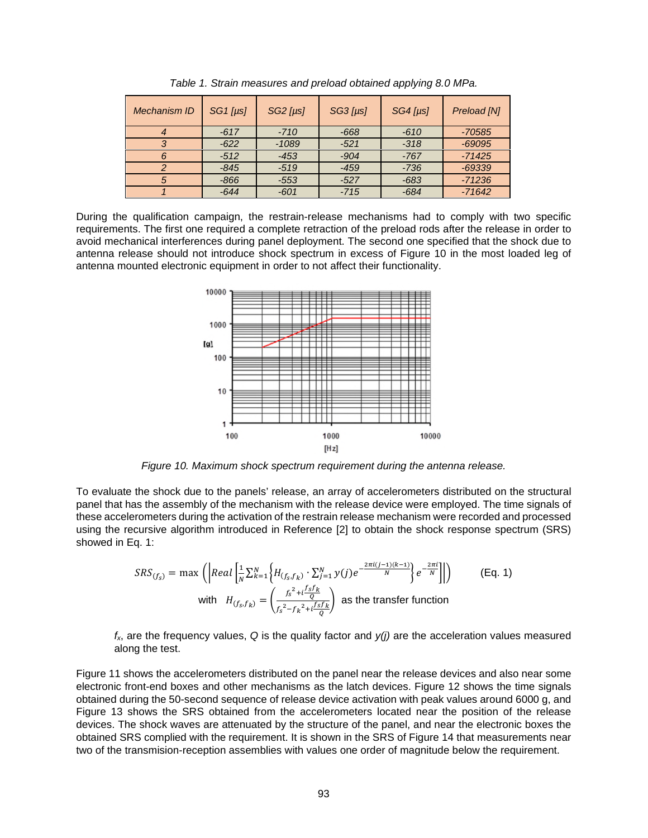| Mechanism ID | $SG1$ [ $\mu$ s] | $SG2$ [ $\mu$ s] | $SG3$ [ $\mu$ s] | $SG4$ [ $\mu$ s] | Preload [N] |
|--------------|------------------|------------------|------------------|------------------|-------------|
|              | $-617$           | $-710$           | $-668$           | $-610$           | -70585      |
|              | $-622$           | $-1089$          | $-521$           | $-318$           | $-69095$    |
|              | $-512$           | $-453$           | $-904$           | $-767$           | $-71425$    |
|              | $-845$           | $-519$           | $-459$           | $-736$           | $-69339$    |
| 5            | $-866$           | $-553$           | $-527$           | $-683$           | $-71236$    |
|              | $-644$           | $-601$           | $-715$           | $-684$           | $-71642$    |

*Table 1. Strain measures and preload obtained applying 8.0 MPa.* 

During the qualification campaign, the restrain-release mechanisms had to comply with two specific requirements. The first one required a complete retraction of the preload rods after the release in order to avoid mechanical interferences during panel deployment. The second one specified that the shock due to antenna release should not introduce shock spectrum in excess of Figure 10 in the most loaded leg of antenna mounted electronic equipment in order to not affect their functionality.



*Figure 10. Maximum shock spectrum requirement during the antenna release.*

To evaluate the shock due to the panels' release, an array of accelerometers distributed on the structural panel that has the assembly of the mechanism with the release device were employed. The time signals of these accelerometers during the activation of the restrain release mechanism were recorded and processed using the recursive algorithm introduced in Reference [2] to obtain the shock response spectrum (SRS) showed in Eq. 1:

$$
SRS_{(f_S)} = \max \left( \left| Real \left[ \frac{1}{N} \sum_{k=1}^{N} \left\{ H_{(f_S, f_k)} \cdot \sum_{j=1}^{N} y(j) e^{-\frac{2\pi i (j-1)(k-1)}{N}} \right\} e^{-\frac{2\pi i}{N}} \right\} \right| \right)
$$
\nwith

\n
$$
H_{(f_S, f_k)} = \left( \frac{f_S^2 + i \frac{f_S f_k}{N}}{f_S^2 - f_k^2 + i \frac{f_S f_k}{Q}} \right)
$$
\nas the transfer function

*fx*, are the frequency values, *Q* is the quality factor and *y(j)* are the acceleration values measured along the test.

Figure 11 shows the accelerometers distributed on the panel near the release devices and also near some electronic front-end boxes and other mechanisms as the latch devices. Figure 12 shows the time signals obtained during the 50-second sequence of release device activation with peak values around 6000 g, and Figure 13 shows the SRS obtained from the accelerometers located near the position of the release devices. The shock waves are attenuated by the structure of the panel, and near the electronic boxes the obtained SRS complied with the requirement. It is shown in the SRS of Figure 14 that measurements near two of the transmision-reception assemblies with values one order of magnitude below the requirement.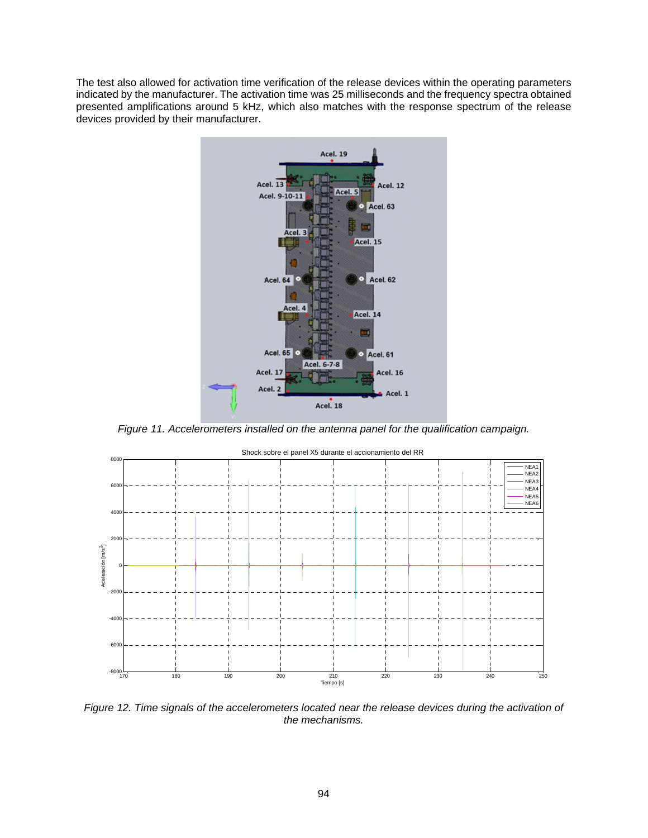The test also allowed for activation time verification of the release devices within the operating parameters indicated by the manufacturer. The activation time was 25 milliseconds and the frequency spectra obtained presented amplifications around 5 kHz, which also matches with the response spectrum of the release devices provided by their manufacturer.



*Figure 11. Accelerometers installed on the antenna panel for the qualification campaign.* 



*Figure 12. Time signals of the accelerometers located near the release devices during the activation of the mechanisms.* 

94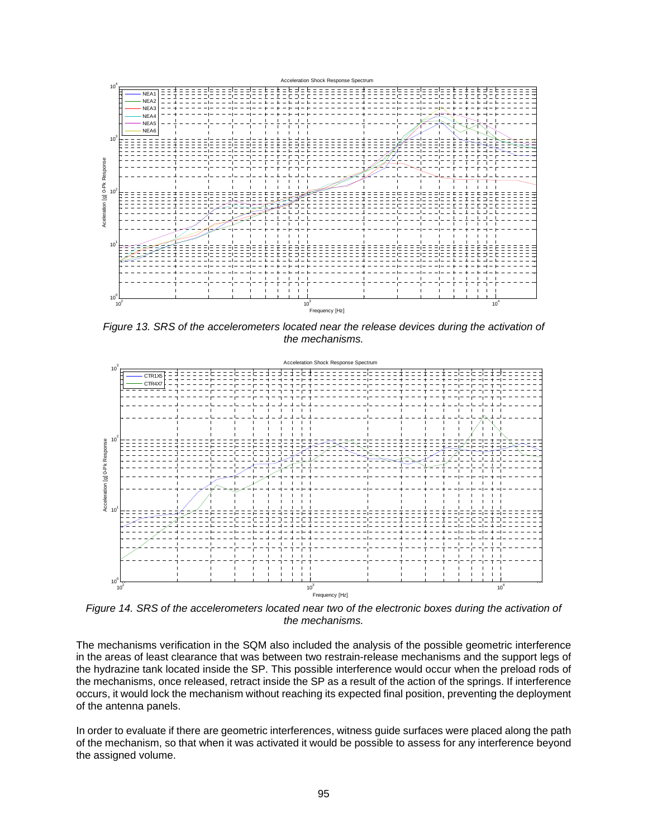

Figure 13. SRS of the accelerometers located near the release devices during the activation of *the mechanisms.* 



*Figure 14. SRS of the accelerometers located near two of the electronic boxes during the activation of the mechanisms.* 

The mechanisms verification in the SQM also included the analysis of the possible geometric interference in the areas of least clearance that was between two restrain-release mechanisms and the support legs of the hydrazine tank located inside the SP. This possible interference would occur when the preload rods of the mechanisms, once released, retract inside the SP as a result of the action of the springs. If interference occurs, it would lock the mechanism without reaching its expected final position, preventing the deployment of the antenna panels.

In order to evaluate if there are geometric interferences, witness guide surfaces were placed along the path of the mechanism, so that when it was activated it would be possible to assess for any interference beyond the assigned volume.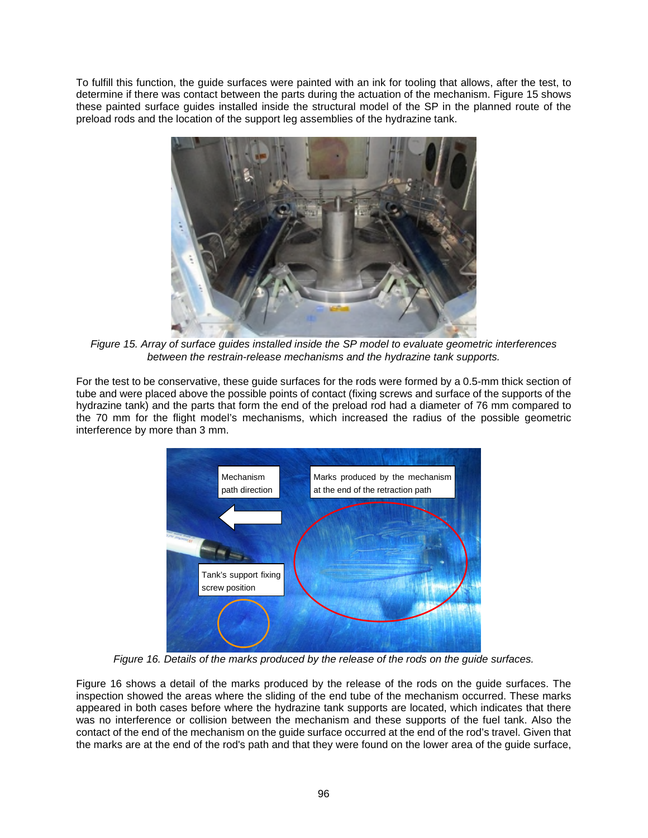To fulfill this function, the guide surfaces were painted with an ink for tooling that allows, after the test, to determine if there was contact between the parts during the actuation of the mechanism. Figure 15 shows these painted surface guides installed inside the structural model of the SP in the planned route of the preload rods and the location of the support leg assemblies of the hydrazine tank.



*Figure 15. Array of surface guides installed inside the SP model to evaluate geometric interferences between the restrain-release mechanisms and the hydrazine tank supports.* 

For the test to be conservative, these guide surfaces for the rods were formed by a 0.5-mm thick section of tube and were placed above the possible points of contact (fixing screws and surface of the supports of the hydrazine tank) and the parts that form the end of the preload rod had a diameter of 76 mm compared to the 70 mm for the flight model's mechanisms, which increased the radius of the possible geometric interference by more than 3 mm.



*Figure 16. Details of the marks produced by the release of the rods on the guide surfaces.* 

Figure 16 shows a detail of the marks produced by the release of the rods on the guide surfaces. The inspection showed the areas where the sliding of the end tube of the mechanism occurred. These marks appeared in both cases before where the hydrazine tank supports are located, which indicates that there was no interference or collision between the mechanism and these supports of the fuel tank. Also the contact of the end of the mechanism on the guide surface occurred at the end of the rod's travel. Given that the marks are at the end of the rod's path and that they were found on the lower area of the guide surface,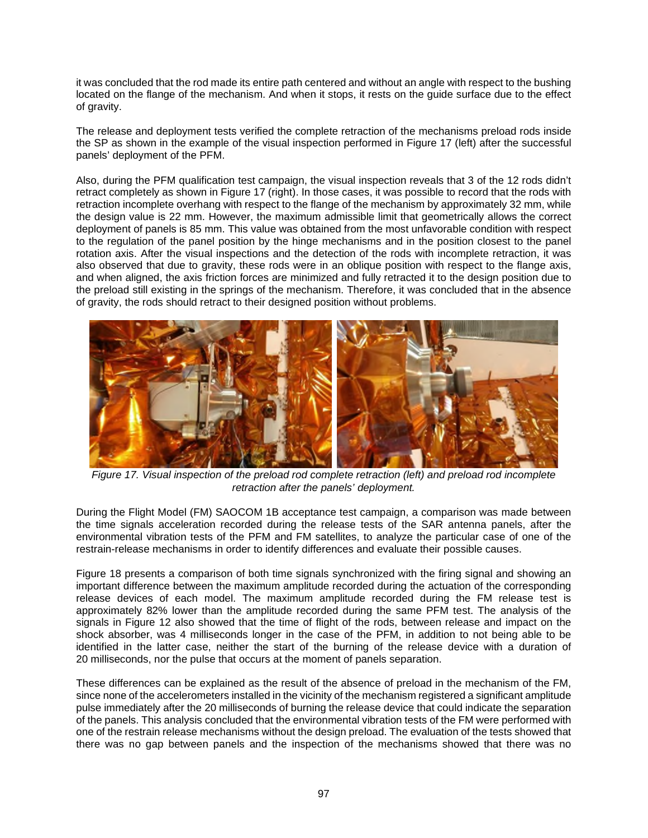it was concluded that the rod made its entire path centered and without an angle with respect to the bushing located on the flange of the mechanism. And when it stops, it rests on the guide surface due to the effect of gravity.

The release and deployment tests verified the complete retraction of the mechanisms preload rods inside the SP as shown in the example of the visual inspection performed in Figure 17 (left) after the successful panels' deployment of the PFM.

Also, during the PFM qualification test campaign, the visual inspection reveals that 3 of the 12 rods didn't retract completely as shown in Figure 17 (right). In those cases, it was possible to record that the rods with retraction incomplete overhang with respect to the flange of the mechanism by approximately 32 mm, while the design value is 22 mm. However, the maximum admissible limit that geometrically allows the correct deployment of panels is 85 mm. This value was obtained from the most unfavorable condition with respect to the regulation of the panel position by the hinge mechanisms and in the position closest to the panel rotation axis. After the visual inspections and the detection of the rods with incomplete retraction, it was also observed that due to gravity, these rods were in an oblique position with respect to the flange axis, and when aligned, the axis friction forces are minimized and fully retracted it to the design position due to the preload still existing in the springs of the mechanism. Therefore, it was concluded that in the absence of gravity, the rods should retract to their designed position without problems.



*Figure 17. Visual inspection of the preload rod complete retraction (left) and preload rod incomplete retraction after the panels' deployment.* 

During the Flight Model (FM) SAOCOM 1B acceptance test campaign, a comparison was made between the time signals acceleration recorded during the release tests of the SAR antenna panels, after the environmental vibration tests of the PFM and FM satellites, to analyze the particular case of one of the restrain-release mechanisms in order to identify differences and evaluate their possible causes.

Figure 18 presents a comparison of both time signals synchronized with the firing signal and showing an important difference between the maximum amplitude recorded during the actuation of the corresponding release devices of each model. The maximum amplitude recorded during the FM release test is approximately 82% lower than the amplitude recorded during the same PFM test. The analysis of the signals in Figure 12 also showed that the time of flight of the rods, between release and impact on the shock absorber, was 4 milliseconds longer in the case of the PFM, in addition to not being able to be identified in the latter case, neither the start of the burning of the release device with a duration of 20 milliseconds, nor the pulse that occurs at the moment of panels separation.

These differences can be explained as the result of the absence of preload in the mechanism of the FM, since none of the accelerometers installed in the vicinity of the mechanism registered a significant amplitude pulse immediately after the 20 milliseconds of burning the release device that could indicate the separation of the panels. This analysis concluded that the environmental vibration tests of the FM were performed with one of the restrain release mechanisms without the design preload. The evaluation of the tests showed that there was no gap between panels and the inspection of the mechanisms showed that there was no